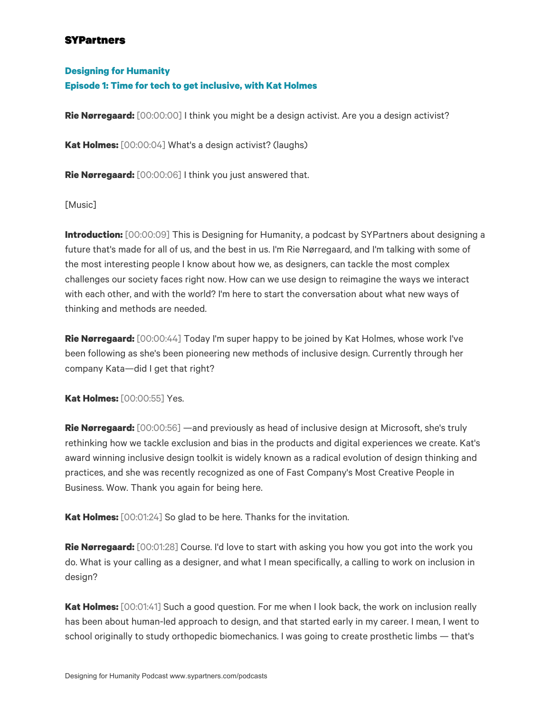#### **Designing for Humanity**

#### **Episode 1: Time for tech to get inclusive, with Kat Holmes**

**Rie Nørregaard:** [00:00:00] I think you might be a design activist. Are you a design activist?

**Kat Holmes:** [00:00:04] What's a design activist? (laughs)

**Rie Nørregaard:** [00:00:06] I think you just answered that.

[Music]

**Introduction:** [00:00:09] This is Designing for Humanity, a podcast by SYPartners about designing a future that's made for all of us, and the best in us. I'm Rie Nørregaard, and I'm talking with some of the most interesting people I know about how we, as designers, can tackle the most complex challenges our society faces right now. How can we use design to reimagine the ways we interact with each other, and with the world? I'm here to start the conversation about what new ways of thinking and methods are needed.

**Rie Nørregaard:** [00:00:44] Today I'm super happy to be joined by Kat Holmes, whose work I've been following as she's been pioneering new methods of inclusive design. Currently through her company Kata—did I get that right?

**Kat Holmes:** [00:00:55] Yes.

**Rie Nørregaard:** [00:00:56] —and previously as head of inclusive design at Microsoft, she's truly rethinking how we tackle exclusion and bias in the products and digital experiences we create. Kat's award winning inclusive design toolkit is widely known as a radical evolution of design thinking and practices, and she was recently recognized as one of Fast Company's Most Creative People in Business. Wow. Thank you again for being here.

**Kat Holmes:** [00:01:24] So glad to be here. Thanks for the invitation.

**Rie Nørregaard:** [00:01:28] Course. I'd love to start with asking you how you got into the work you do. What is your calling as a designer, and what I mean specifically, a calling to work on inclusion in design?

**Kat Holmes:** [00:01:41] Such a good question. For me when I look back, the work on inclusion really has been about human-led approach to design, and that started early in my career. I mean, I went to school originally to study orthopedic biomechanics. I was going to create prosthetic limbs — that's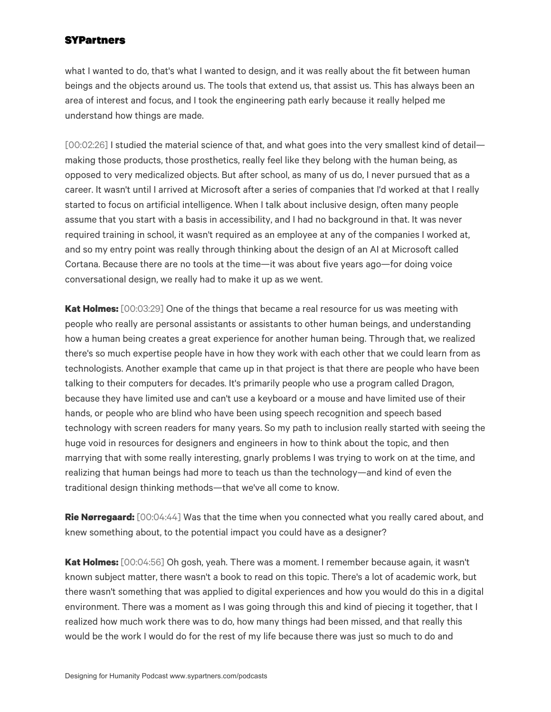what I wanted to do, that's what I wanted to design, and it was really about the fit between human beings and the objects around us. The tools that extend us, that assist us. This has always been an area of interest and focus, and I took the engineering path early because it really helped me understand how things are made.

[00:02:26] I studied the material science of that, and what goes into the very smallest kind of detail making those products, those prosthetics, really feel like they belong with the human being, as opposed to very medicalized objects. But after school, as many of us do, I never pursued that as a career. It wasn't until I arrived at Microsoft after a series of companies that I'd worked at that I really started to focus on artificial intelligence. When I talk about inclusive design, often many people assume that you start with a basis in accessibility, and I had no background in that. It was never required training in school, it wasn't required as an employee at any of the companies I worked at, and so my entry point was really through thinking about the design of an AI at Microsoft called Cortana. Because there are no tools at the time—it was about five years ago—for doing voice conversational design, we really had to make it up as we went.

**Kat Holmes:** [00:03:29] One of the things that became a real resource for us was meeting with people who really are personal assistants or assistants to other human beings, and understanding how a human being creates a great experience for another human being. Through that, we realized there's so much expertise people have in how they work with each other that we could learn from as technologists. Another example that came up in that project is that there are people who have been talking to their computers for decades. It's primarily people who use a program called Dragon, because they have limited use and can't use a keyboard or a mouse and have limited use of their hands, or people who are blind who have been using speech recognition and speech based technology with screen readers for many years. So my path to inclusion really started with seeing the huge void in resources for designers and engineers in how to think about the topic, and then marrying that with some really interesting, gnarly problems I was trying to work on at the time, and realizing that human beings had more to teach us than the technology—and kind of even the traditional design thinking methods—that we've all come to know.

**Rie Nørregaard:** [00:04:44] Was that the time when you connected what you really cared about, and knew something about, to the potential impact you could have as a designer?

**Kat Holmes:** [00:04:56] Oh gosh, yeah. There was a moment. I remember because again, it wasn't known subject matter, there wasn't a book to read on this topic. There's a lot of academic work, but there wasn't something that was applied to digital experiences and how you would do this in a digital environment. There was a moment as I was going through this and kind of piecing it together, that I realized how much work there was to do, how many things had been missed, and that really this would be the work I would do for the rest of my life because there was just so much to do and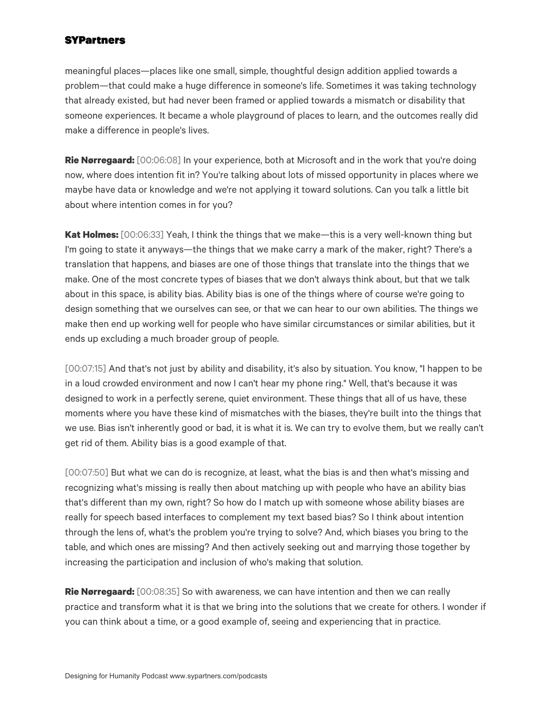meaningful places—places like one small, simple, thoughtful design addition applied towards a problem—that could make a huge difference in someone's life. Sometimes it was taking technology that already existed, but had never been framed or applied towards a mismatch or disability that someone experiences. It became a whole playground of places to learn, and the outcomes really did make a difference in people's lives.

**Rie Nørregaard:** [00:06:08] In your experience, both at Microsoft and in the work that you're doing now, where does intention fit in? You're talking about lots of missed opportunity in places where we maybe have data or knowledge and we're not applying it toward solutions. Can you talk a little bit about where intention comes in for you?

**Kat Holmes:** [00:06:33] Yeah, I think the things that we make—this is a very well-known thing but I'm going to state it anyways—the things that we make carry a mark of the maker, right? There's a translation that happens, and biases are one of those things that translate into the things that we make. One of the most concrete types of biases that we don't always think about, but that we talk about in this space, is ability bias. Ability bias is one of the things where of course we're going to design something that we ourselves can see, or that we can hear to our own abilities. The things we make then end up working well for people who have similar circumstances or similar abilities, but it ends up excluding a much broader group of people.

[00:07:15] And that's not just by ability and disability, it's also by situation. You know, "I happen to be in a loud crowded environment and now I can't hear my phone ring." Well, that's because it was designed to work in a perfectly serene, quiet environment. These things that all of us have, these moments where you have these kind of mismatches with the biases, they're built into the things that we use. Bias isn't inherently good or bad, it is what it is. We can try to evolve them, but we really can't get rid of them. Ability bias is a good example of that.

[00:07:50] But what we can do is recognize, at least, what the bias is and then what's missing and recognizing what's missing is really then about matching up with people who have an ability bias that's different than my own, right? So how do I match up with someone whose ability biases are really for speech based interfaces to complement my text based bias? So I think about intention through the lens of, what's the problem you're trying to solve? And, which biases you bring to the table, and which ones are missing? And then actively seeking out and marrying those together by increasing the participation and inclusion of who's making that solution.

**Rie Nørregaard:** [00:08:35] So with awareness, we can have intention and then we can really practice and transform what it is that we bring into the solutions that we create for others. I wonder if you can think about a time, or a good example of, seeing and experiencing that in practice.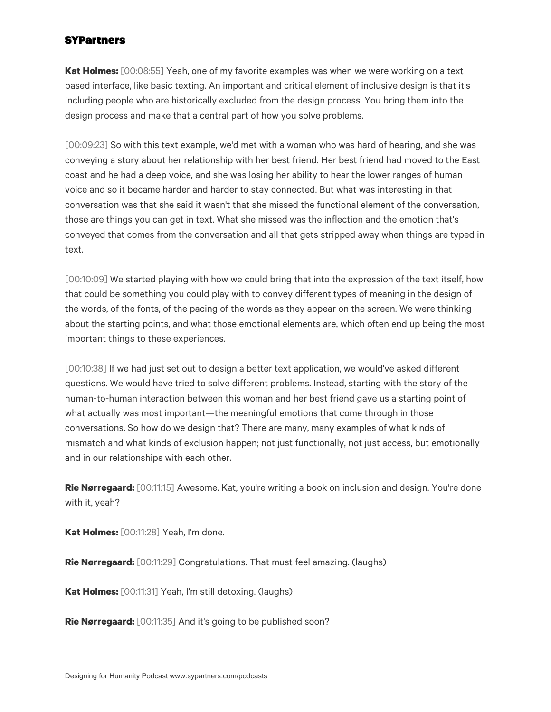**Kat Holmes:** [00:08:55] Yeah, one of my favorite examples was when we were working on a text based interface, like basic texting. An important and critical element of inclusive design is that it's including people who are historically excluded from the design process. You bring them into the design process and make that a central part of how you solve problems.

[00:09:23] So with this text example, we'd met with a woman who was hard of hearing, and she was conveying a story about her relationship with her best friend. Her best friend had moved to the East coast and he had a deep voice, and she was losing her ability to hear the lower ranges of human voice and so it became harder and harder to stay connected. But what was interesting in that conversation was that she said it wasn't that she missed the functional element of the conversation, those are things you can get in text. What she missed was the inflection and the emotion that's conveyed that comes from the conversation and all that gets stripped away when things are typed in text.

[00:10:09] We started playing with how we could bring that into the expression of the text itself, how that could be something you could play with to convey different types of meaning in the design of the words, of the fonts, of the pacing of the words as they appear on the screen. We were thinking about the starting points, and what those emotional elements are, which often end up being the most important things to these experiences.

[00:10:38] If we had just set out to design a better text application, we would've asked different questions. We would have tried to solve different problems. Instead, starting with the story of the human-to-human interaction between this woman and her best friend gave us a starting point of what actually was most important—the meaningful emotions that come through in those conversations. So how do we design that? There are many, many examples of what kinds of mismatch and what kinds of exclusion happen; not just functionally, not just access, but emotionally and in our relationships with each other.

**Rie Nørregaard:** [00:11:15] Awesome. Kat, you're writing a book on inclusion and design. You're done with it, yeah?

**Kat Holmes:** [00:11:28] Yeah, I'm done.

**Rie Nørregaard:** [00:11:29] Congratulations. That must feel amazing. (laughs)

**Kat Holmes:** [00:11:31] Yeah, I'm still detoxing. (laughs)

**Rie Nørregaard:** [00:11:35] And it's going to be published soon?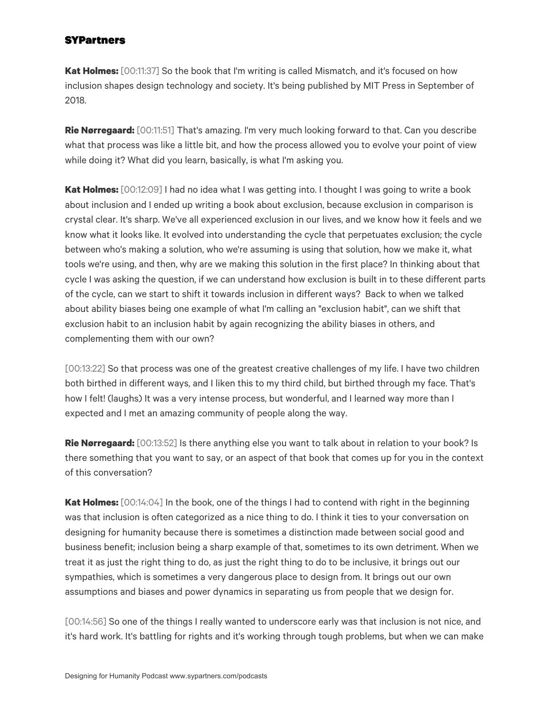**Kat Holmes:** [00:11:37] So the book that I'm writing is called Mismatch, and it's focused on how inclusion shapes design technology and society. It's being published by MIT Press in September of 2018.

**Rie Nørregaard:** [00:11:51] That's amazing. I'm very much looking forward to that. Can you describe what that process was like a little bit, and how the process allowed you to evolve your point of view while doing it? What did you learn, basically, is what I'm asking you.

**Kat Holmes:** [00:12:09] I had no idea what I was getting into. I thought I was going to write a book about inclusion and I ended up writing a book about exclusion, because exclusion in comparison is crystal clear. It's sharp. We've all experienced exclusion in our lives, and we know how it feels and we know what it looks like. It evolved into understanding the cycle that perpetuates exclusion; the cycle between who's making a solution, who we're assuming is using that solution, how we make it, what tools we're using, and then, why are we making this solution in the first place? In thinking about that cycle I was asking the question, if we can understand how exclusion is built in to these different parts of the cycle, can we start to shift it towards inclusion in different ways? Back to when we talked about ability biases being one example of what I'm calling an "exclusion habit", can we shift that exclusion habit to an inclusion habit by again recognizing the ability biases in others, and complementing them with our own?

[00:13:22] So that process was one of the greatest creative challenges of my life. I have two children both birthed in different ways, and I liken this to my third child, but birthed through my face. That's how I felt! (laughs) It was a very intense process, but wonderful, and I learned way more than I expected and I met an amazing community of people along the way.

**Rie Nørregaard:** [00:13:52] Is there anything else you want to talk about in relation to your book? Is there something that you want to say, or an aspect of that book that comes up for you in the context of this conversation?

**Kat Holmes:** [00:14:04] In the book, one of the things I had to contend with right in the beginning was that inclusion is often categorized as a nice thing to do. I think it ties to your conversation on designing for humanity because there is sometimes a distinction made between social good and business benefit; inclusion being a sharp example of that, sometimes to its own detriment. When we treat it as just the right thing to do, as just the right thing to do to be inclusive, it brings out our sympathies, which is sometimes a very dangerous place to design from. It brings out our own assumptions and biases and power dynamics in separating us from people that we design for.

[00:14:56] So one of the things I really wanted to underscore early was that inclusion is not nice, and it's hard work. It's battling for rights and it's working through tough problems, but when we can make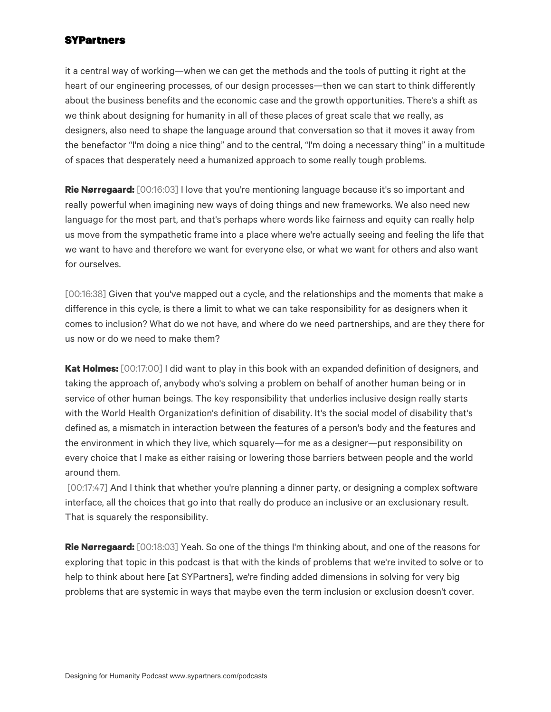it a central way of working—when we can get the methods and the tools of putting it right at the heart of our engineering processes, of our design processes—then we can start to think differently about the business benefits and the economic case and the growth opportunities. There's a shift as we think about designing for humanity in all of these places of great scale that we really, as designers, also need to shape the language around that conversation so that it moves it away from the benefactor "I'm doing a nice thing" and to the central, "I'm doing a necessary thing" in a multitude of spaces that desperately need a humanized approach to some really tough problems.

**Rie Nørregaard:** [00:16:03] I love that you're mentioning language because it's so important and really powerful when imagining new ways of doing things and new frameworks. We also need new language for the most part, and that's perhaps where words like fairness and equity can really help us move from the sympathetic frame into a place where we're actually seeing and feeling the life that we want to have and therefore we want for everyone else, or what we want for others and also want for ourselves.

[00:16:38] Given that you've mapped out a cycle, and the relationships and the moments that make a difference in this cycle, is there a limit to what we can take responsibility for as designers when it comes to inclusion? What do we not have, and where do we need partnerships, and are they there for us now or do we need to make them?

**Kat Holmes:** [00:17:00] I did want to play in this book with an expanded definition of designers, and taking the approach of, anybody who's solving a problem on behalf of another human being or in service of other human beings. The key responsibility that underlies inclusive design really starts with the World Health Organization's definition of disability. It's the social model of disability that's defined as, a mismatch in interaction between the features of a person's body and the features and the environment in which they live, which squarely—for me as a designer—put responsibility on every choice that I make as either raising or lowering those barriers between people and the world around them.

[00:17:47] And I think that whether you're planning a dinner party, or designing a complex software interface, all the choices that go into that really do produce an inclusive or an exclusionary result. That is squarely the responsibility.

**Rie Nørregaard:** [00:18:03] Yeah. So one of the things I'm thinking about, and one of the reasons for exploring that topic in this podcast is that with the kinds of problems that we're invited to solve or to help to think about here [at SYPartners], we're finding added dimensions in solving for very big problems that are systemic in ways that maybe even the term inclusion or exclusion doesn't cover.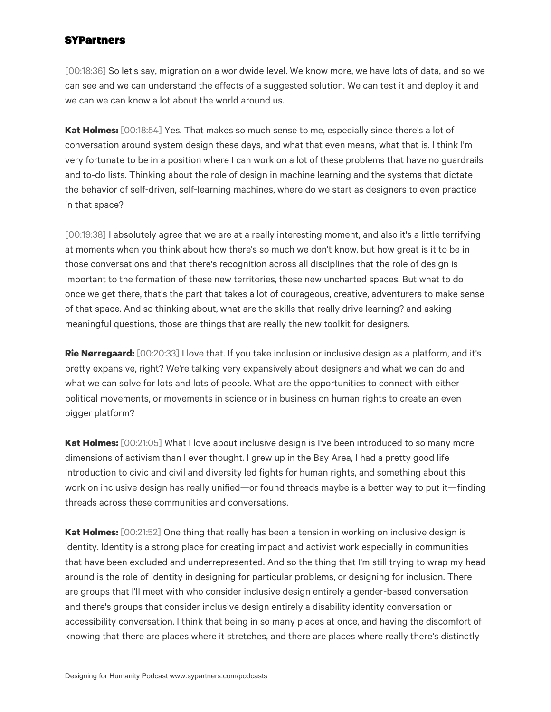[00:18:36] So let's say, migration on a worldwide level. We know more, we have lots of data, and so we can see and we can understand the effects of a suggested solution. We can test it and deploy it and we can we can know a lot about the world around us.

**Kat Holmes:** [00:18:54] Yes. That makes so much sense to me, especially since there's a lot of conversation around system design these days, and what that even means, what that is. I think I'm very fortunate to be in a position where I can work on a lot of these problems that have no guardrails and to-do lists. Thinking about the role of design in machine learning and the systems that dictate the behavior of self-driven, self-learning machines, where do we start as designers to even practice in that space?

[00:19:38] I absolutely agree that we are at a really interesting moment, and also it's a little terrifying at moments when you think about how there's so much we don't know, but how great is it to be in those conversations and that there's recognition across all disciplines that the role of design is important to the formation of these new territories, these new uncharted spaces. But what to do once we get there, that's the part that takes a lot of courageous, creative, adventurers to make sense of that space. And so thinking about, what are the skills that really drive learning? and asking meaningful questions, those are things that are really the new toolkit for designers.

**Rie Nørregaard:** [00:20:33] I love that. If you take inclusion or inclusive design as a platform, and it's pretty expansive, right? We're talking very expansively about designers and what we can do and what we can solve for lots and lots of people. What are the opportunities to connect with either political movements, or movements in science or in business on human rights to create an even bigger platform?

**Kat Holmes:** [00:21:05] What I love about inclusive design is I've been introduced to so many more dimensions of activism than I ever thought. I grew up in the Bay Area, I had a pretty good life introduction to civic and civil and diversity led fights for human rights, and something about this work on inclusive design has really unified—or found threads maybe is a better way to put it—finding threads across these communities and conversations.

**Kat Holmes:** [00:21:52] One thing that really has been a tension in working on inclusive design is identity. Identity is a strong place for creating impact and activist work especially in communities that have been excluded and underrepresented. And so the thing that I'm still trying to wrap my head around is the role of identity in designing for particular problems, or designing for inclusion. There are groups that I'll meet with who consider inclusive design entirely a gender-based conversation and there's groups that consider inclusive design entirely a disability identity conversation or accessibility conversation. I think that being in so many places at once, and having the discomfort of knowing that there are places where it stretches, and there are places where really there's distinctly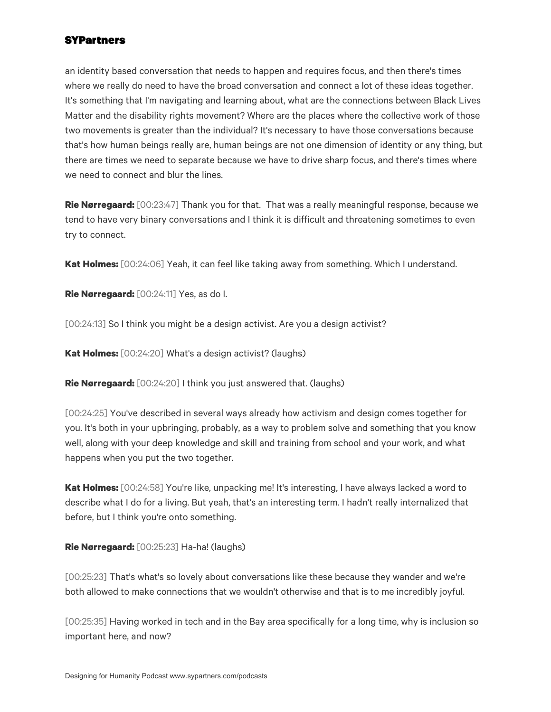an identity based conversation that needs to happen and requires focus, and then there's times where we really do need to have the broad conversation and connect a lot of these ideas together. It's something that I'm navigating and learning about, what are the connections between Black Lives Matter and the disability rights movement? Where are the places where the collective work of those two movements is greater than the individual? It's necessary to have those conversations because that's how human beings really are, human beings are not one dimension of identity or any thing, but there are times we need to separate because we have to drive sharp focus, and there's times where we need to connect and blur the lines.

**Rie Nørregaard:** [00:23:47] Thank you for that. That was a really meaningful response, because we tend to have very binary conversations and I think it is difficult and threatening sometimes to even try to connect.

**Kat Holmes:** [00:24:06] Yeah, it can feel like taking away from something. Which I understand.

**Rie Nørregaard:** [00:24:11] Yes, as do I.

[00:24:13] So I think you might be a design activist. Are you a design activist?

**Kat Holmes:** [00:24:20] What's a design activist? (laughs)

**Rie Nørregaard:** [00:24:20] I think you just answered that. (laughs)

[00:24:25] You've described in several ways already how activism and design comes together for you. It's both in your upbringing, probably, as a way to problem solve and something that you know well, along with your deep knowledge and skill and training from school and your work, and what happens when you put the two together.

**Kat Holmes:** [00:24:58] You're like, unpacking me! It's interesting, I have always lacked a word to describe what I do for a living. But yeah, that's an interesting term. I hadn't really internalized that before, but I think you're onto something.

**Rie Nørregaard:** [00:25:23] Ha-ha! (laughs)

[00:25:23] That's what's so lovely about conversations like these because they wander and we're both allowed to make connections that we wouldn't otherwise and that is to me incredibly joyful.

[00:25:35] Having worked in tech and in the Bay area specifically for a long time, why is inclusion so important here, and now?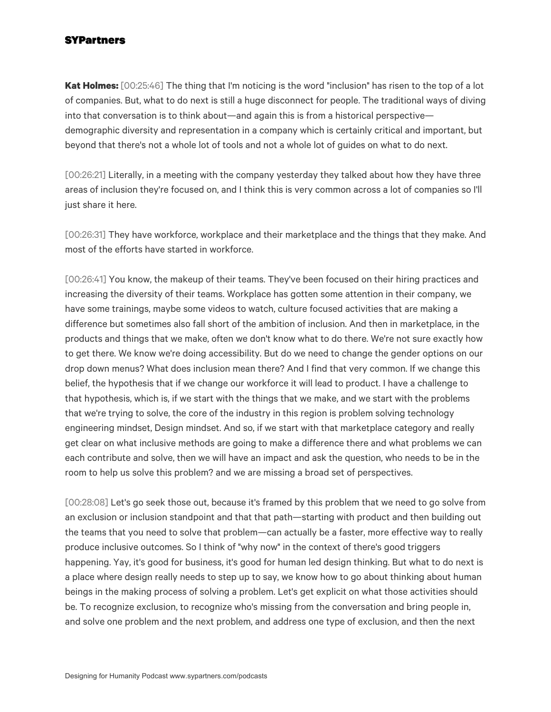**Kat Holmes:** [00:25:46] The thing that I'm noticing is the word "inclusion" has risen to the top of a lot of companies. But, what to do next is still a huge disconnect for people. The traditional ways of diving into that conversation is to think about—and again this is from a historical perspective demographic diversity and representation in a company which is certainly critical and important, but beyond that there's not a whole lot of tools and not a whole lot of guides on what to do next.

[00:26:21] Literally, in a meeting with the company yesterday they talked about how they have three areas of inclusion they're focused on, and I think this is very common across a lot of companies so I'll just share it here.

[00:26:31] They have workforce, workplace and their marketplace and the things that they make. And most of the efforts have started in workforce.

[00:26:41] You know, the makeup of their teams. They've been focused on their hiring practices and increasing the diversity of their teams. Workplace has gotten some attention in their company, we have some trainings, maybe some videos to watch, culture focused activities that are making a difference but sometimes also fall short of the ambition of inclusion. And then in marketplace, in the products and things that we make, often we don't know what to do there. We're not sure exactly how to get there. We know we're doing accessibility. But do we need to change the gender options on our drop down menus? What does inclusion mean there? And I find that very common. If we change this belief, the hypothesis that if we change our workforce it will lead to product. I have a challenge to that hypothesis, which is, if we start with the things that we make, and we start with the problems that we're trying to solve, the core of the industry in this region is problem solving technology engineering mindset, Design mindset. And so, if we start with that marketplace category and really get clear on what inclusive methods are going to make a difference there and what problems we can each contribute and solve, then we will have an impact and ask the question, who needs to be in the room to help us solve this problem? and we are missing a broad set of perspectives.

[00:28:08] Let's go seek those out, because it's framed by this problem that we need to go solve from an exclusion or inclusion standpoint and that that path—starting with product and then building out the teams that you need to solve that problem—can actually be a faster, more effective way to really produce inclusive outcomes. So I think of "why now" in the context of there's good triggers happening. Yay, it's good for business, it's good for human led design thinking. But what to do next is a place where design really needs to step up to say, we know how to go about thinking about human beings in the making process of solving a problem. Let's get explicit on what those activities should be. To recognize exclusion, to recognize who's missing from the conversation and bring people in, and solve one problem and the next problem, and address one type of exclusion, and then the next